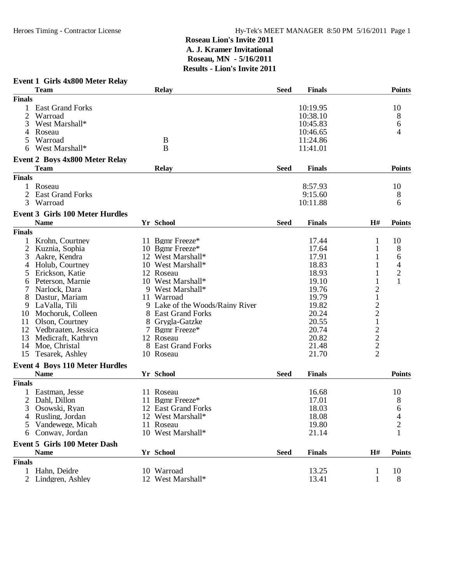| Event 1 Girls 4x800 Meter Relay |  |  |  |  |
|---------------------------------|--|--|--|--|
|---------------------------------|--|--|--|--|

|               | <b>Team</b>                                          | <b>Relay</b>                    | <b>Seed</b> | <b>Finals</b> |                         | <b>Points</b>  |
|---------------|------------------------------------------------------|---------------------------------|-------------|---------------|-------------------------|----------------|
| <b>Finals</b> |                                                      |                                 |             |               |                         |                |
|               | <b>East Grand Forks</b>                              |                                 |             | 10:19.95      |                         | 10             |
| 2             | Warroad                                              |                                 |             | 10:38.10      |                         | 8              |
| 3             | West Marshall*                                       |                                 |             | 10:45.83      |                         | 6              |
|               | Roseau                                               |                                 |             | 10:46.65      |                         | 4              |
|               | Warroad                                              | B                               |             | 11:24.86      |                         |                |
| 6             | West Marshall*                                       | B                               |             | 11:41.01      |                         |                |
|               |                                                      |                                 |             |               |                         |                |
|               | <b>Event 2 Boys 4x800 Meter Relay</b>                |                                 |             |               |                         |                |
|               | <b>Team</b>                                          | <b>Relay</b>                    | <b>Seed</b> | <b>Finals</b> |                         | <b>Points</b>  |
| <b>Finals</b> |                                                      |                                 |             |               |                         |                |
| 1             | Roseau                                               |                                 |             | 8:57.93       |                         | 10             |
|               | 2 East Grand Forks                                   |                                 |             | 9:15.60       |                         | 8              |
| 3             | Warroad                                              |                                 |             | 10:11.88      |                         | 6              |
|               | <b>Event 3 Girls 100 Meter Hurdles</b>               |                                 |             |               |                         |                |
|               | <b>Name</b>                                          | Yr School                       | <b>Seed</b> | <b>Finals</b> | H#                      | <b>Points</b>  |
| <b>Finals</b> |                                                      |                                 |             |               |                         |                |
|               |                                                      |                                 |             |               |                         |                |
|               | Krohn, Courtney                                      | 11 Bgmr Freeze*                 |             | 17.44         | 1                       | 10             |
| 2             | Kuznia, Sophia                                       | 10 Bgmr Freeze*                 |             | 17.64         | 1                       | 8              |
| 3             | Aakre, Kendra                                        | 12 West Marshall*               |             | 17.91         | 1                       | 6              |
| 4             | Holub, Courtney                                      | 10 West Marshall*               |             | 18.83         |                         | 4              |
| 5             | Erickson, Katie                                      | 12 Roseau                       |             | 18.93         |                         | $\overline{c}$ |
|               | Peterson, Marnie                                     | 10 West Marshall*               |             | 19.10         | 1                       | 1              |
|               | Narlock, Dara                                        | 9 West Marshall*                |             | 19.76         | $\overline{c}$          |                |
| 8             | Dastur, Mariam                                       | 11 Warroad                      |             | 19.79         | $\mathbf{1}$            |                |
| 9             | LaValla, Tili                                        | 9 Lake of the Woods/Rainy River |             | 19.82         | $\overline{\mathbf{c}}$ |                |
| 10            | Mochoruk, Colleen                                    | 8 East Grand Forks              |             | 20.24         | $\overline{c}$          |                |
| 11            | Olson, Courtney                                      | 8 Grygla-Gatzke                 |             | 20.55         | $\mathbf{1}$            |                |
| 12            | Vedbraaten, Jessica                                  | 7 Bgmr Freeze*                  |             | 20.74         | $\overline{c}$          |                |
| 13            | Medicraft, Kathryn                                   | 12 Roseau                       |             | 20.82         | $\overline{c}$          |                |
| 14            | Moe, Christal                                        | 8 East Grand Forks              |             | 21.48         | $\overline{c}$          |                |
| 15            | Tesarek, Ashley                                      | 10 Roseau                       |             | 21.70         | $\overline{2}$          |                |
|               |                                                      |                                 |             |               |                         |                |
|               | <b>Event 4 Boys 110 Meter Hurdles</b><br><b>Name</b> | Yr School                       | <b>Seed</b> | <b>Finals</b> |                         | <b>Points</b>  |
|               |                                                      |                                 |             |               |                         |                |
| <b>Finals</b> |                                                      |                                 |             |               |                         |                |
|               | Eastman, Jesse                                       | 11 Roseau                       |             | 16.68         |                         | 10             |
|               | Dahl, Dillon                                         | 11 Bgmr Freeze*                 |             | 17.01         |                         | 8              |
| 3             | Osowski, Ryan                                        | 12 East Grand Forks             |             | 18.03         |                         | 6              |
|               | 4 Rusling, Jordan                                    | 12 West Marshall*               |             | 18.08         |                         | $\overline{4}$ |
| 5.            | Vandewege, Micah                                     | 11 Roseau                       |             | 19.80         |                         | $\overline{c}$ |
| 6.            | Conway, Jordan                                       | 10 West Marshall*               |             | 21.14         |                         |                |
|               | <b>Event 5 Girls 100 Meter Dash</b>                  |                                 |             |               |                         |                |
|               | <b>Name</b>                                          | Yr School                       | <b>Seed</b> | <b>Finals</b> | H#                      | <b>Points</b>  |
| <b>Finals</b> |                                                      |                                 |             |               |                         |                |
| 1             | Hahn, Deidre                                         | 10 Warroad                      |             | 13.25         | $\mathbf{1}$            | 10             |
|               | 2 Lindgren, Ashley                                   | 12 West Marshall*               |             | 13.41         | $\mathbf{1}$            | $8\,$          |
|               |                                                      |                                 |             |               |                         |                |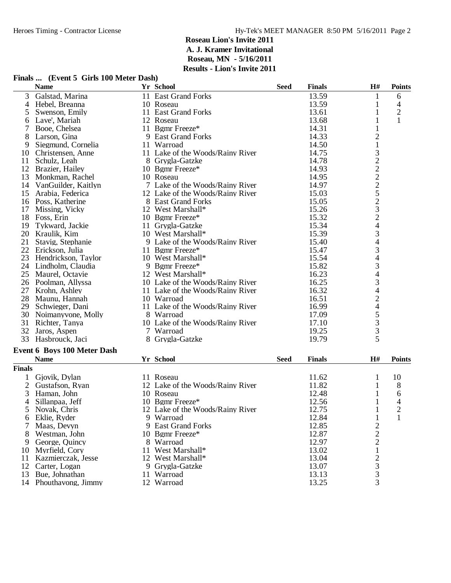#### **Finals ... (Event 5 Girls 100 Meter Dash)**

|               | <b>Name</b>                        |    | Yr School                        | <b>Seed</b> | <b>Finals</b> | H#                                              | <b>Points</b>  |
|---------------|------------------------------------|----|----------------------------------|-------------|---------------|-------------------------------------------------|----------------|
| 3             | Galstad, Marina                    |    | 11 East Grand Forks              |             | 13.59         | 1                                               | 6              |
| 4             | Hebel, Breanna                     |    | 10 Roseau                        |             | 13.59         | 1                                               | 4              |
| 5             | Swenson, Emily                     |    | 11 East Grand Forks              |             | 13.61         | 1                                               | $\overline{c}$ |
| 6             | Lave', Mariah                      |    | 12 Roseau                        |             | 13.68         | $\mathbf{1}$                                    | $\mathbf{1}$   |
| 7             | Booe, Chelsea                      |    | 11 Bgmr Freeze*                  |             | 14.31         | $\mathbf{1}$                                    |                |
| 8             | Larson, Gina                       |    | 9 East Grand Forks               |             | 14.33         | $\overline{c}$                                  |                |
| 9             | Siegmund, Cornelia                 |    | 11 Warroad                       |             | 14.50         | $\,1$                                           |                |
| 10            | Christensen, Anne                  |    | 11 Lake of the Woods/Rainy River |             | 14.75         |                                                 |                |
| 11            | Schulz, Leah                       |    | 8 Grygla-Gatzke                  |             | 14.78         |                                                 |                |
| 12            | Brazier, Hailey                    |    | 10 Bgmr Freeze*                  |             | 14.93         | 32225232                                        |                |
| 13            | Monkman, Rachel                    |    | 10 Roseau                        |             | 14.95         |                                                 |                |
| 14            | VanGuilder, Kaitlyn                |    | 7 Lake of the Woods/Rainy River  |             | 14.97         |                                                 |                |
| 15            | Arabia, Federica                   |    | 12 Lake of the Woods/Rainy River |             | 15.03         |                                                 |                |
| 16            | Poss, Katherine                    |    | 8 East Grand Forks               |             | 15.05         |                                                 |                |
| 17            | Missing, Vicky                     |    | 12 West Marshall*                |             | 15.26         |                                                 |                |
| 18            | Foss, Erin                         |    | 10 Bgmr Freeze*                  |             | 15.32         |                                                 |                |
| 19            | Tykward, Jackie                    |    | 11 Grygla-Gatzke                 |             | 15.34         | $\overline{4}$                                  |                |
| 20            | Kraulik, Kim                       |    | 10 West Marshall*                |             | 15.39         | 3                                               |                |
| 21            | Stavig, Stephanie                  |    | 9 Lake of the Woods/Rainy River  |             | 15.40         | 4                                               |                |
| 22            | Erickson, Julia                    |    | 11 Bgmr Freeze*                  |             | 15.47         | 3                                               |                |
| 23            | Hendrickson, Taylor                |    | 10 West Marshall*                |             | 15.54         |                                                 |                |
| 24            | Lindholm, Claudia                  |    | 9 Bgmr Freeze*                   |             | 15.82         | $\frac{4}{3}$                                   |                |
| 25            | Maurel, Octavie                    |    | 12 West Marshall*                |             | 16.23         | 4                                               |                |
|               | 26 Poolman, Allyssa                |    | 10 Lake of the Woods/Rainy River |             | 16.25         | 3                                               |                |
| 27            | Krohn, Ashley                      |    | 11 Lake of the Woods/Rainy River |             | 16.32         | $\overline{\mathcal{L}}$                        |                |
| 28            | Maunu, Hannah                      |    | 10 Warroad                       |             | 16.51         |                                                 |                |
| 29            | Schwieger, Dani                    |    | 11 Lake of the Woods/Rainy River |             | 16.99         | $\frac{2}{4}$                                   |                |
| 30            | Noimanyvone, Molly                 |    | 8 Warroad                        |             | 17.09         |                                                 |                |
| 31            | Richter, Tanya                     |    | 10 Lake of the Woods/Rainy River |             | 17.10         | 3                                               |                |
| 32            | Jaros, Aspen                       |    | 7 Warroad                        |             | 19.25         | 3                                               |                |
| 33            | Hasbrouck, Jaci                    |    | 8 Grygla-Gatzke                  |             | 19.79         | 5                                               |                |
|               |                                    |    |                                  |             |               |                                                 |                |
|               | <b>Event 6 Boys 100 Meter Dash</b> |    |                                  |             |               |                                                 |                |
|               | <b>Name</b>                        |    | Yr School                        | <b>Seed</b> | <b>Finals</b> | H#                                              | <b>Points</b>  |
| <b>Finals</b> |                                    |    |                                  |             |               |                                                 |                |
| $\mathbf 1$   | Gjovik, Dylan                      |    | 11 Roseau                        |             | 11.62         | 1                                               | 10             |
| 2             | Gustafson, Ryan                    |    | 12 Lake of the Woods/Rainy River |             | 11.82         | 1                                               | 8              |
| 3             | Haman, John                        |    | 10 Roseau                        |             | 12.48         | 1                                               | 6              |
| 4             | Sillanpaa, Jeff                    |    | 10 Bgmr Freeze*                  |             | 12.56         | 1                                               | 4              |
| 5             | Novak, Chris                       |    | 12 Lake of the Woods/Rainy River |             | 12.75         | $\mathbf{1}$                                    | $\overline{2}$ |
| 6             | Eklie, Ryder                       |    | 9 Warroad                        |             | 12.84         | 1                                               | 1              |
| 7             | Maas, Devyn                        |    | 9 East Grand Forks               |             | 12.85         |                                                 |                |
| 8             | Westman, John                      |    | 10 Bgmr Freeze*                  |             | 12.87         | $\begin{array}{c} 2 \\ 2 \\ 2 \\ 1 \end{array}$ |                |
| 9             | George, Quincy                     |    | 8 Warroad                        |             | 12.97         |                                                 |                |
| 10            | Myrfield, Cory                     |    | 11 West Marshall*                |             | 13.02         |                                                 |                |
| 11            | Kazmierczak, Jesse                 |    | 12 West Marshall*                |             | 13.04         | $\frac{2}{3}$                                   |                |
| 12            | Carter, Logan                      |    | 9 Grygla-Gatzke                  |             | 13.07         |                                                 |                |
| 13            | Bue, Johnathan                     | 11 | Warroad                          |             | 13.13         |                                                 |                |
| 14            | Phouthavong, Jimmy                 |    | 12 Warroad                       |             | 13.25         | $\overline{3}$                                  |                |
|               |                                    |    |                                  |             |               |                                                 |                |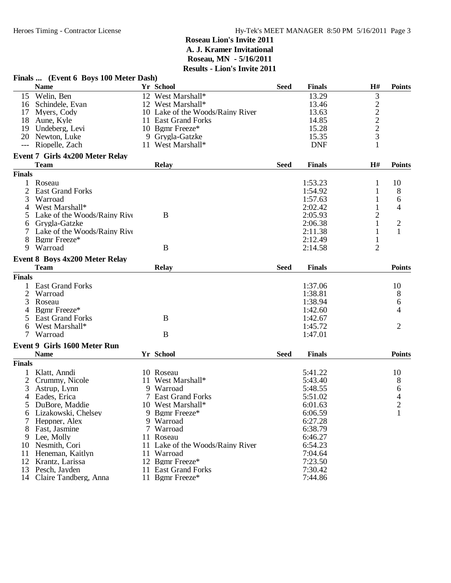|               | Finals  (Event 6 Boys 100 Meter Dash)              |    |                                  |             |               |                             |                |
|---------------|----------------------------------------------------|----|----------------------------------|-------------|---------------|-----------------------------|----------------|
|               | <b>Name</b>                                        |    | Yr School                        | <b>Seed</b> | <b>Finals</b> | H#                          | <b>Points</b>  |
|               | 15 Welin, Ben                                      |    | 12 West Marshall*                |             | 13.29         | 3                           |                |
|               | 16 Schindele, Evan                                 |    | 12 West Marshall*                |             | 13.46         |                             |                |
|               | 17 Myers, Cody                                     |    | 10 Lake of the Woods/Rainy River |             | 13.63         | $\frac{2}{2}$ $\frac{2}{3}$ |                |
|               | 18 Aune, Kyle                                      |    | 11 East Grand Forks              |             | 14.85         |                             |                |
|               | 19 Undeberg, Levi                                  |    | 10 Bgmr Freeze*                  |             | 15.28         |                             |                |
|               | 20 Newton, Luke                                    |    | 9 Grygla-Gatzke                  |             | 15.35         |                             |                |
| $---$         | Riopelle, Zach                                     |    | 11 West Marshall*                |             | <b>DNF</b>    |                             |                |
|               | Event 7 Girls 4x200 Meter Relay                    |    |                                  |             |               |                             |                |
|               | <b>Team</b>                                        |    | <b>Relay</b>                     | <b>Seed</b> | <b>Finals</b> | H#                          | <b>Points</b>  |
| <b>Finals</b> |                                                    |    |                                  |             |               |                             |                |
| 1             | Roseau                                             |    |                                  |             | 1:53.23       | 1                           | 10             |
| 2             | <b>East Grand Forks</b>                            |    |                                  |             | 1:54.92       | 1                           | 8              |
|               | Warroad                                            |    |                                  |             | 1:57.63       |                             |                |
| 3             |                                                    |    |                                  |             |               | 1                           | 6              |
| 4             | West Marshall*                                     |    |                                  |             | 2:02.42       | $\mathbf{1}$                | 4              |
| 5             | Lake of the Woods/Rainy Rive                       |    | B                                |             | 2:05.93       | $\overline{c}$              |                |
| 6             | Grygla-Gatzke                                      |    |                                  |             | 2:06.38       | 1                           | $\overline{c}$ |
|               | Lake of the Woods/Rainy Rive                       |    |                                  |             | 2:11.38       | 1                           | 1              |
| 8             | Bgmr Freeze*                                       |    |                                  |             | 2:12.49       | 1                           |                |
| 9             | Warroad                                            |    | B                                |             | 2:14.58       | $\overline{2}$              |                |
|               | Event 8 Boys 4x200 Meter Relay                     |    |                                  |             |               |                             |                |
|               | <b>Team</b>                                        |    | <b>Relay</b>                     | <b>Seed</b> | <b>Finals</b> |                             | <b>Points</b>  |
| <b>Finals</b> |                                                    |    |                                  |             |               |                             |                |
|               | <b>East Grand Forks</b>                            |    |                                  |             | 1:37.06       |                             | 10             |
| 2             | Warroad                                            |    |                                  |             | 1:38.81       |                             | 8              |
| 3             | Roseau                                             |    |                                  |             | 1:38.94       |                             | 6              |
|               | Bgmr Freeze*                                       |    |                                  |             | 1:42.60       |                             | 4              |
| 5             | <b>East Grand Forks</b>                            |    | B                                |             | 1:42.67       |                             |                |
| 6             | West Marshall*                                     |    |                                  |             | 1:45.72       |                             | $\overline{2}$ |
| 7             | Warroad                                            |    | B                                |             | 1:47.01       |                             |                |
|               |                                                    |    |                                  |             |               |                             |                |
|               | <b>Event 9 Girls 1600 Meter Run</b><br><b>Name</b> |    | Yr School                        | <b>Seed</b> | <b>Finals</b> |                             | <b>Points</b>  |
| <b>Finals</b> |                                                    |    |                                  |             |               |                             |                |
|               |                                                    |    |                                  |             | 5:41.22       |                             | 10             |
|               | Klatt, Anndi                                       |    | 10 Roseau                        |             |               |                             |                |
| 2             | Crummy, Nicole                                     | 11 | West Marshall*                   |             | 5:43.40       |                             | 8              |
| 3             | Astrup, Lynn                                       |    | 9 Warroad                        |             | 5:48.55       |                             | 6              |
| 4             | Eades, Erica                                       |    | 7 East Grand Forks               |             | 5:51.02       |                             | 4              |
|               | 5 DuBore, Maddie                                   |    | 10 West Marshall*                |             | 6:01.63       |                             | $\overline{c}$ |
| 6             | Lizakowski, Chelsey                                |    | 9 Bgmr Freeze*                   |             | 6:06.59       |                             | 1              |
|               | Heppner, Alex                                      |    | 9 Warroad                        |             | 6:27.28       |                             |                |
| 8             | Fast, Jasmine                                      |    | 7 Warroad                        |             | 6:38.79       |                             |                |
| 9             | Lee, Molly                                         |    | 11 Roseau                        |             | 6:46.27       |                             |                |
| 10            | Nesmith, Cori                                      |    | 11 Lake of the Woods/Rainy River |             | 6:54.23       |                             |                |
| 11            | Heneman, Kaitlyn                                   |    | 11 Warroad                       |             | 7:04.64       |                             |                |
|               | 12 Krantz, Larissa                                 |    | 12 Bgmr Freeze*                  |             | 7:23.50       |                             |                |
| 13            | Pesch, Jayden                                      |    | 11 East Grand Forks              |             | 7:30.42       |                             |                |
| 14            | Claire Tandberg, Anna                              |    | 11 Bgmr Freeze*                  |             | 7:44.86       |                             |                |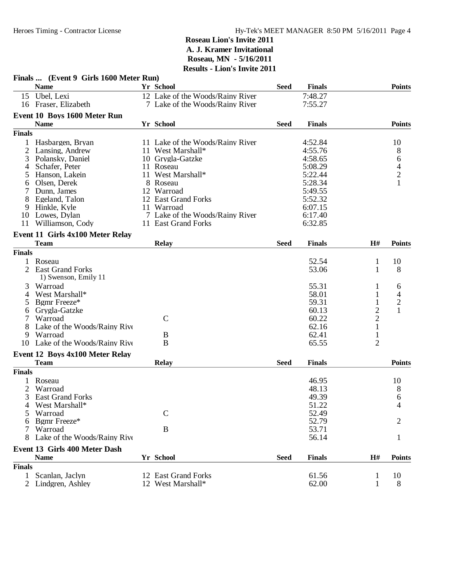|               | Finals  (Event 9 Girls 1600 Meter Run) | - LIVII 9 IIIVIIV 4011           |             |               |                |                |
|---------------|----------------------------------------|----------------------------------|-------------|---------------|----------------|----------------|
|               | <b>Name</b>                            | Yr School                        | <b>Seed</b> | <b>Finals</b> |                | <b>Points</b>  |
|               | 15 Ubel, Lexi                          | 12 Lake of the Woods/Rainy River |             | 7:48.27       |                |                |
|               | 16 Fraser, Elizabeth                   | 7 Lake of the Woods/Rainy River  |             | 7:55.27       |                |                |
|               | Event 10 Boys 1600 Meter Run           |                                  |             |               |                |                |
|               | <b>Name</b>                            | Yr School                        | <b>Seed</b> | <b>Finals</b> |                | <b>Points</b>  |
| <b>Finals</b> |                                        |                                  |             |               |                |                |
|               | Hasbargen, Bryan                       | 11 Lake of the Woods/Rainy River |             | 4:52.84       |                | 10             |
| 2             | Lansing, Andrew                        | 11 West Marshall*                |             | 4:55.76       |                | 8              |
| 3             | Polansky, Daniel                       | 10 Grygla-Gatzke                 |             | 4:58.65       |                | 6              |
| 4             | Schafer, Peter                         | 11 Roseau                        |             | 5:08.29       |                |                |
| 5             | Hanson, Lakein                         | 11 West Marshall*                |             | 5:22.44       |                | $\frac{4}{2}$  |
| 6             | Olsen, Derek                           | 8 Roseau                         |             | 5:28.34       |                |                |
|               | Dunn, James                            | 12 Warroad                       |             | 5:49.55       |                |                |
| 8             | Egeland, Talon                         | 12 East Grand Forks              |             | 5:52.32       |                |                |
| 9.            | Hinkle, Kyle                           | 11 Warroad                       |             | 6:07.15       |                |                |
|               | 10 Lowes, Dylan                        | 7 Lake of the Woods/Rainy River  |             | 6:17.40       |                |                |
|               | 11 Williamson, Cody                    | 11 East Grand Forks              |             | 6:32.85       |                |                |
|               |                                        |                                  |             |               |                |                |
|               | Event 11 Girls 4x100 Meter Relay       |                                  |             |               |                |                |
|               | Team                                   | <b>Relay</b>                     | <b>Seed</b> | <b>Finals</b> | H#             | <b>Points</b>  |
| <b>Finals</b> |                                        |                                  |             |               |                |                |
| 1             | Roseau                                 |                                  |             | 52.54         | 1              | 10             |
| 2             | <b>East Grand Forks</b>                |                                  |             | 53.06         | 1              | 8              |
|               | 1) Swenson, Emily 11                   |                                  |             |               |                |                |
| 3             | Warroad                                |                                  |             | 55.31         | 1              | 6              |
| 4             | West Marshall*                         |                                  |             | 58.01         | 1              | 4              |
| 5             | Bgmr Freeze*                           |                                  |             | 59.31         | 1              | $\overline{c}$ |
| 6             | Grygla-Gatzke                          |                                  |             | 60.13         | $\overline{c}$ | $\mathbf{1}$   |
|               | Warroad                                | $\mathcal{C}$                    |             | 60.22         | $\overline{2}$ |                |
| 8             | Lake of the Woods/Rainy Rive           |                                  |             | 62.16         | $\mathbf{1}$   |                |
| 9.            | Warroad                                | B                                |             | 62.41         | $\mathbf{1}$   |                |
|               | 10 Lake of the Woods/Rainy Rive        | B                                |             | 65.55         | $\overline{2}$ |                |
|               |                                        |                                  |             |               |                |                |
|               | Event 12 Boys 4x100 Meter Relay        |                                  |             |               |                |                |
|               | <b>Team</b>                            | <b>Relay</b>                     | <b>Seed</b> | <b>Finals</b> |                | <b>Points</b>  |
| <b>Finals</b> |                                        |                                  |             |               |                |                |
|               | Roseau                                 |                                  |             | 46.95         |                | 10             |
| 2             | Warroad                                |                                  |             | 48.13         |                | 8              |
| 3             | <b>East Grand Forks</b>                |                                  |             | 49.39         |                | 6              |
|               | West Marshall*                         |                                  |             | 51.22         |                | 4              |
|               | Warroad                                | $\mathsf{C}$                     |             | 52.49         |                |                |
| 6             | Bgmr Freeze*                           |                                  |             | 52.79         |                | 2              |
|               | Warroad                                | B                                |             | 53.71         |                |                |
|               | Lake of the Woods/Rainy Rive           |                                  |             | 56.14         |                | 1              |
|               | Event 13 Girls 400 Meter Dash          |                                  |             |               |                |                |
|               | <b>Name</b>                            | Yr School                        | <b>Seed</b> | <b>Finals</b> | H#             | <b>Points</b>  |
| <b>Finals</b> |                                        |                                  |             |               |                |                |
| 1             | Scanlan, Jaclyn                        | 12 East Grand Forks              |             | 61.56         | $\mathbf{1}$   | 10             |
|               | 2 Lindgren, Ashley                     | 12 West Marshall*                |             | 62.00         | $\mathbf{1}$   | 8              |
|               |                                        |                                  |             |               |                |                |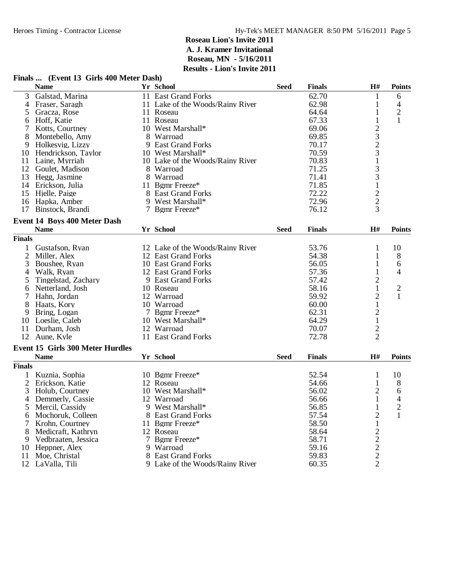#### **Finals ...** (Event 13 Girls 400 Meter Dash)<br>Name Yr School  $\bf{N}$ ame **Finals Finals Finals Finals Finals Finals Finals Finals Finals Finals Finals Finals** 3 Galstad, Marina 11 East Grand Forks 62.70 1 6<br>4 Fraser, Saragh 11 Lake of the Woods/Rainy River 62.98 1 4 4 Fraser, Saragh 11 Lake of the Woods/Rainy River 62.98 1 4<br>5 Gracza, Rose 11 Roseau 64.64 1 2 Gracza, Rose 11 Roseau 64.64 1 2<br>
Hoff. Katie 11 Roseau 67.33 1 1 6 Hoff, Katie 11 Roseau 67.33 1 1 7 Kotts, Courtney 10 West Marshall\* 69.06 2<br>
8 Montebello, Amy 8 Warroad 69.85 3 8 Montebello, Amy 8 Warroad 69.85 3<br>
9 Holkesvig, Lizzy 9 East Grand Forks 69.85 3 9 East Grand Forks 70.17 2<br>10 West Marshall\* 70.59 3 10 Hendrickson, Taylor 10 West Marshall\* 10 West Marshall\* 10 West Marshall\* 10 Laine, Myrriah 1 1 Laine, Myrriah 1 10 Lake of the Woods/Rainy River 70.83 1<br>8 Warroad 71.25 3 12 Goulet, Madison 8 Warroad 71.25 3<br>13 Hegg, Jasmine 8 Warroad 71.41 3 13 Hegg, Jasmine 8 Warroad 11 Bennet 1 and 13 Hegg, Jasmine 3 and 3 and 3 and 3 and 3 and 3 and 3 and 3 and 3 and 3 and 3 and 3 and 3 and 3 and 3 and 3 and 3 and 3 and 3 and 3 and 3 and 3 and 3 and 3 and 3 and 3 and 3 and 14 Erickson, Julia 11 Bgmr Freeze\* 11 19 and 11 Bgmr Freeze 1 1 and 11 Bgmr Freeze 2 1 and 1 and 1 and 1 and 1 and 1 and 1 and 1 and 1 and 1 and 1 and 1 and 1 and 1 and 1 and 1 and 1 and 1 and 1 and 1 and 1 and 1 and 1 and 15 Hjelle, Paige 8 East Grand Forks 72.22 2 16 Hapka, Amber 19 West Marshall\* 16 Hapka, Amber 2<br>17 Binstock, Brandi 17 Benne Freeze\* 16.12 3 17 Binstock, Brandi **Event 14 Boys 400 Meter Dash Name Yr School FinalsSeed PointsH# Finals** 1 Gustafson, Ryan 12 Lake of the Woods/Rainy River 53.76 1 10<br>
2 Miller, Alex 1 2 East Grand Forks 54.38 1 8 2 Miller, Alex 12 East Grand Forks 54.38 1<br>3 Boushee, Ryan 10 East Grand Forks 56.05 1 3 Boushee, Ryan 10 East Grand Forks 56.05 1 6<br>4 Walk, Ryan 12 East Grand Forks 57.36 1 4 4 Walk, Ryan 12 East Grand Forks 57.36 1<br>5 Tingelstad, Zachary 9 East Grand Forks 57.42 2 Tingelstad, Zachary 9 East Grand Forks 57.42 2<br>Netterland, Josh 10 Roseau 58.16 1 6 Netterland, Josh 10 Roseau 58.16 1 2<br>
12 Warroad 59.92 2 1 12 Warroad 59.92 2<br>12 Warroad 59.92 2<br>10 Warroad 60.00 1 8 Haats, Kory 10 Warroad 60.00 1<br>
9 Bring. Logan 1 7 Bgmr Freeze\* 62.31 2 9 Bring, Logan 7 Bgmr Freeze\* 62.31 2<br>10 Loeslie, Caleb 10 West Marshall\* 64.29 1 10 West Marshall\* 64.29 1<br>12 Warroad 70.07 2 11 Durham, Josh 12 Warroad 70.07 2 11 East Grand Forks **Event 15 Girls 300 Meter Hurdles**  $N$ ame **Finals Finals Finals Finals Finals Finals Finals Finals Finals Finals Finals Finals Finals Finals Finals Finals Finals Finals Finals Finals Finals Finals Finals Finals Finals** 1 Kuznia, Sophia 10 Bgmr Freeze\* 52.54 1 10 2 Erickson, Katie 12 Roseau 54.66 1 8<br>
2 Holub, Courtney 10 West Marshall\* 56.02 2 6 3 Holub, Courtney 10 West Marshall\* 56.02 2 6<br>4 Demmerly, Cassie 12 Warroad 56.66 1 4 4 Demmerly, Cassie 12 Warroad 56.66 1 4<br>5 Mercil, Cassidy 9 West Marshall\* 56.85 1 2 Mercil, Cassidy 9 West Marshall\* 56.85 1 2<br>Mochoruk, Colleen 8 East Grand Forks 57.54 2 1 6 Mochoruk, Colleen 8 East Grand Forks 57.54 2 1 11 Bgmr Freeze\* 58.50 1<br>
8 Medicraft, Kathryn 12 Roseau 58.64 2<br>
9 Vedbraaten, Jessica 7 Bgmr Freeze\* 58.71 2<br>
8 Heppner, Alex 9 Warroad 59.16 2<br>
1 Moe, Christal 8 East Grand Forks 59.83 2 8 Medicraft, Kathryn 12 Roseau 58.64<br>
9 Vedbraaten, Jessica 12 Benn Freeze\* 58.71 58.71 9 Vedbraaten, Jessica 7 Bgmr Freeze\* 58.71 2 10 Heppner, Alex<br>11 Moe, Christal 11 Moera 8 East Grand Forks 59.83 2<br>12 Moet B. Moods/Rainy River 60.35 2

12 LaValla, Tili 9 Lake of the Woods/Rainy River 60.35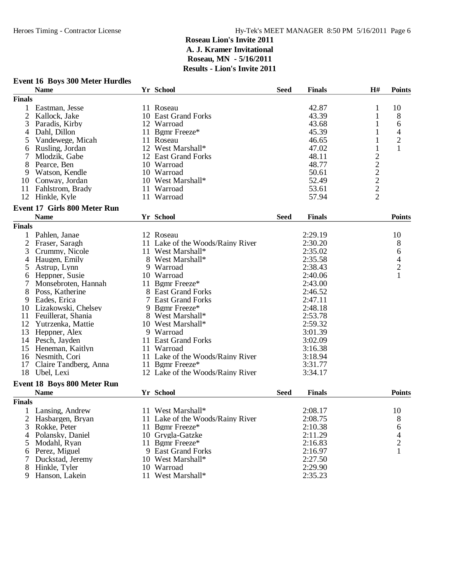|                | <b>Event 16 Boys 300 Meter Hurdles</b> |                                  |             |               |                                           |                |
|----------------|----------------------------------------|----------------------------------|-------------|---------------|-------------------------------------------|----------------|
|                | <b>Name</b>                            | Yr School                        | <b>Seed</b> | <b>Finals</b> | H#                                        | <b>Points</b>  |
| <b>Finals</b>  |                                        |                                  |             |               |                                           |                |
| $\mathbf{1}$   | Eastman, Jesse                         | 11 Roseau                        |             | 42.87         | 1                                         | 10             |
| 2              | Kallock, Jake                          | 10 East Grand Forks              |             | 43.39         | $\mathbf{1}$                              | 8              |
| 3              | Paradis, Kirby                         | 12 Warroad                       |             | 43.68         | 1                                         | 6              |
| 4              | Dahl, Dillon                           | 11 Bgmr Freeze*                  |             | 45.39         | 1                                         | 4              |
| 5              | Vandewege, Micah                       | 11 Roseau                        |             | 46.65         | 1                                         | $\sqrt{2}$     |
| 6              | Rusling, Jordan                        | 12 West Marshall*                |             | 47.02         | 1                                         | $\mathbf{1}$   |
| 7              | Mlodzik, Gabe                          | 12 East Grand Forks              |             | 48.11         |                                           |                |
| 8              | Pearce, Ben                            | 10 Warroad                       |             | 48.77         |                                           |                |
| 9              | Watson, Kendle                         | 10 Warroad                       |             | 50.61         |                                           |                |
|                | 10 Conway, Jordan                      | 10 West Marshall*                |             | 52.49         |                                           |                |
| 11             | Fahlstrom, Brady                       | 11 Warroad                       |             | 53.61         |                                           |                |
| 12             | Hinkle, Kyle                           | 11 Warroad                       |             | 57.94         | $\frac{2}{2}$ $\frac{2}{2}$ $\frac{2}{2}$ |                |
|                |                                        |                                  |             |               |                                           |                |
|                | <b>Event 17 Girls 800 Meter Run</b>    | Yr School                        |             |               |                                           |                |
|                | <b>Name</b>                            |                                  | <b>Seed</b> | <b>Finals</b> |                                           | <b>Points</b>  |
| <b>Finals</b>  |                                        |                                  |             |               |                                           |                |
| $\mathbf{1}$   | Pahlen, Janae                          | 12 Roseau                        |             | 2:29.19       |                                           | 10             |
| $\overline{c}$ | Fraser, Saragh                         | 11 Lake of the Woods/Rainy River |             | 2:30.20       |                                           | 8              |
| 3              | Crummy, Nicole                         | 11 West Marshall*                |             | 2:35.02       |                                           | 6              |
| 4              | Haugen, Emily                          | 8 West Marshall*                 |             | 2:35.58       |                                           | 4              |
| 5              | Astrup, Lynn                           | 9 Warroad                        |             | 2:38.43       |                                           | $\overline{c}$ |
| 6              | Heppner, Susie                         | 10 Warroad                       |             | 2:40.06       |                                           | 1              |
| 7              | Monsebroten, Hannah                    | 11 Bgmr Freeze*                  |             | 2:43.00       |                                           |                |
| 8              | Poss, Katherine                        | 8 East Grand Forks               |             | 2:46.52       |                                           |                |
| 9              | Eades, Erica                           | 7 East Grand Forks               |             | 2:47.11       |                                           |                |
| 10             | Lizakowski, Chelsey                    | 9 Bgmr Freeze*                   |             | 2:48.18       |                                           |                |
| 11             | Feuillerat, Shania                     | 8 West Marshall*                 |             | 2:53.78       |                                           |                |
| 12             | Yutrzenka, Mattie                      | 10 West Marshall*                |             | 2:59.32       |                                           |                |
| 13             | Heppner, Alex                          | 9 Warroad                        |             | 3:01.39       |                                           |                |
|                | 14 Pesch, Jayden                       | 11 East Grand Forks              |             | 3:02.09       |                                           |                |
| 15             | Heneman, Kaitlyn                       | 11 Warroad                       |             | 3:16.38       |                                           |                |
|                | 16 Nesmith, Cori                       | 11 Lake of the Woods/Rainy River |             | 3:18.94       |                                           |                |
| 17             | Claire Tandberg, Anna                  | 11 Bgmr Freeze*                  |             | 3:31.77       |                                           |                |
| 18             | Ubel, Lexi                             | 12 Lake of the Woods/Rainy River |             | 3:34.17       |                                           |                |
|                | <b>Event 18 Boys 800 Meter Run</b>     |                                  |             |               |                                           |                |
|                | <b>Name</b>                            | Yr School                        | <b>Seed</b> | <b>Finals</b> |                                           | <b>Points</b>  |
| <b>Finals</b>  |                                        |                                  |             |               |                                           |                |
|                | Lansing, Andrew                        | 11 West Marshall*                |             | 2:08.17       |                                           | 10             |
|                |                                        |                                  |             | 2:08.75       |                                           |                |
| 2              | Hasbargen, Bryan                       | 11 Lake of the Woods/Rainy River |             |               |                                           | 8              |
| 3              | Rokke, Peter                           | 11 Bgmr Freeze*                  |             | 2:10.38       |                                           | 6              |
| 4              | Polansky, Daniel                       | 10 Grygla-Gatzke                 |             | 2:11.29       |                                           | 4              |
| 5              | Modahl, Ryan                           | 11 Bgmr Freeze*                  |             | 2:16.83       |                                           | $\overline{c}$ |
| 6              | Perez, Miguel                          | 9 East Grand Forks               |             | 2:16.97       |                                           | 1              |
|                | Duckstad, Jeremy                       | 10 West Marshall*                |             | 2:27.50       |                                           |                |
| 8              | Hinkle, Tyler                          | 10 Warroad                       |             | 2:29.90       |                                           |                |
| 9              | Hanson, Lakein                         | 11 West Marshall*                |             | 2:35.23       |                                           |                |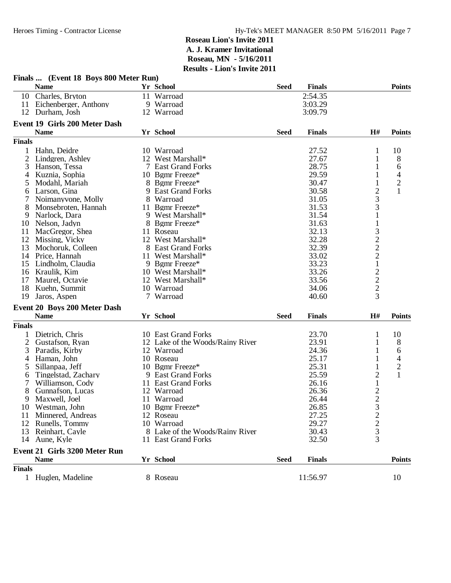|                | Finals  (Event 18 Boys 800 Meter Run) |                                  |             |               |                                            |                            |
|----------------|---------------------------------------|----------------------------------|-------------|---------------|--------------------------------------------|----------------------------|
|                | <b>Name</b>                           | Yr School                        | <b>Seed</b> | <b>Finals</b> |                                            | <b>Points</b>              |
|                | 10 Charles, Bryton                    | 11 Warroad                       |             | 2:54.35       |                                            |                            |
|                | 11 Eichenberger, Anthony              | 9 Warroad                        |             | 3:03.29       |                                            |                            |
|                | 12 Durham, Josh                       | 12 Warroad                       |             | 3:09.79       |                                            |                            |
|                | Event 19 Girls 200 Meter Dash         |                                  |             |               |                                            |                            |
|                | <b>Name</b>                           | Yr School                        | <b>Seed</b> | <b>Finals</b> | H#                                         | <b>Points</b>              |
| <b>Finals</b>  |                                       |                                  |             |               |                                            |                            |
|                | Hahn, Deidre                          | 10 Warroad                       |             | 27.52         | 1                                          | 10                         |
| 2              | Lindgren, Ashley                      | 12 West Marshall*                |             | 27.67         | $\mathbf{1}$                               | 8                          |
| 3              | Hanson, Tessa                         | 7 East Grand Forks               |             | 28.75         | 1                                          | 6                          |
| 4              | Kuznia, Sophia                        | 10 Bgmr Freeze*                  |             | 29.59         | 1                                          | 4                          |
|                |                                       | 8 Bgmr Freeze*                   |             | 30.47         |                                            |                            |
| 5              | Modahl, Mariah                        |                                  |             |               | 1                                          | $\sqrt{2}$<br>$\mathbf{1}$ |
| 6              | Larson, Gina                          | 9 East Grand Forks               |             | 30.58         | $\overline{2}$                             |                            |
|                | Noimanyvone, Molly                    | 8 Warroad                        |             | 31.05         | $\overline{\mathbf{3}}$                    |                            |
| 8              | Monsebroten, Hannah                   | 11 Bgmr Freeze*                  |             | 31.53         | 3                                          |                            |
| 9              | Narlock, Dara                         | 9 West Marshall*                 |             | 31.54         | $\mathbf 1$                                |                            |
| 10             | Nelson, Jadyn                         | 8 Bgmr Freeze*                   |             | 31.63         |                                            |                            |
| 11             | MacGregor, Shea                       | 11 Roseau                        |             | 32.13         |                                            |                            |
| 12             | Missing, Vicky                        | 12 West Marshall*                |             | 32.28         |                                            |                            |
| 13             | Mochoruk, Colleen                     | 8 East Grand Forks               |             | 32.39         | $\frac{1}{3}$<br>$\frac{2}{2}$             |                            |
| 14             | Price, Hannah                         | 11 West Marshall*                |             | 33.02         |                                            |                            |
| 15             | Lindholm, Claudia                     | 9 Bgmr Freeze*                   |             | 33.23         | $\mathbf 1$                                |                            |
|                | 16 Kraulik, Kim                       | 10 West Marshall*                |             | 33.26         |                                            |                            |
| 17             | Maurel, Octavie                       | 12 West Marshall*                |             | 33.56         | $\begin{array}{c} 2 \\ 2 \\ 3 \end{array}$ |                            |
| 18             | Kuehn, Summit                         | 10 Warroad                       |             | 34.06         |                                            |                            |
| 19             | Jaros, Aspen                          | 7 Warroad                        |             | 40.60         |                                            |                            |
|                | Event 20 Boys 200 Meter Dash          |                                  |             |               |                                            |                            |
|                | <b>Name</b>                           | Yr School                        | <b>Seed</b> | <b>Finals</b> | H#                                         | <b>Points</b>              |
| <b>Finals</b>  |                                       |                                  |             |               |                                            |                            |
| 1              | Dietrich, Chris                       | 10 East Grand Forks              |             | 23.70         | 1                                          | 10                         |
| $\overline{2}$ | Gustafson, Ryan                       | 12 Lake of the Woods/Rainy River |             | 23.91         | 1                                          | 8                          |
| 3              | Paradis, Kirby                        | 12 Warroad                       |             | 24.36         | 1                                          | 6                          |
| 4              | Haman, John                           | 10 Roseau                        |             | 25.17         | 1                                          | 4                          |
| 5              | Sillanpaa, Jeff                       | 10 Bgmr Freeze*                  |             | 25.31         | 1                                          | $\mathbf{2}$               |
|                | Tingelstad, Zachary                   | 9 East Grand Forks               |             | 25.59         | $\overline{c}$                             | $\mathbf{1}$               |
| 6<br>7         | Williamson, Cody                      | 11 East Grand Forks              |             | 26.16         | $\,1\,$                                    |                            |
| 8              | Gunnafson, Lucas                      | 12 Warroad                       |             | 26.36         |                                            |                            |
|                |                                       | 11 Warroad                       |             | 26.44         | $\frac{2}{2}$                              |                            |
| 9              | Maxwell, Joel                         |                                  |             |               |                                            |                            |
| 10             | Westman, John                         | 10 Bgmr Freeze*                  |             | 26.85         | 3                                          |                            |
| 11             | Minnered, Andreas                     | 12 Roseau                        |             | 27.25         |                                            |                            |
| 12             | Runells, Tommy                        | 10 Warroad                       |             | 29.27         | $\frac{2}{3}$                              |                            |
| 13             | Reinhart, Cayle                       | 8 Lake of the Woods/Rainy River  |             | 30.43         |                                            |                            |
|                | 14 Aune, Kyle                         | 11 East Grand Forks              |             | 32.50         | 3                                          |                            |
|                | <b>Event 21 Girls 3200 Meter Run</b>  |                                  |             |               |                                            |                            |
|                | <b>Name</b>                           | Yr School                        | <b>Seed</b> | <b>Finals</b> |                                            | <b>Points</b>              |
| <b>Finals</b>  |                                       |                                  |             |               |                                            |                            |
|                | 1 Huglen, Madeline                    | 8 Roseau                         |             | 11:56.97      |                                            | 10                         |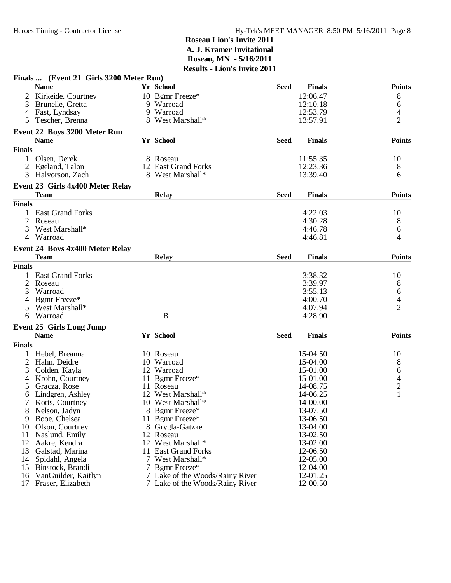|               | Finals  (Event 21 Girls 3200 Meter Run) |                                 |             |               |                               |
|---------------|-----------------------------------------|---------------------------------|-------------|---------------|-------------------------------|
|               | <b>Name</b>                             | Yr School                       | <b>Seed</b> | <b>Finals</b> | <b>Points</b>                 |
|               | Kirkeide, Courtney                      | 10 Bgmr Freeze*                 |             | 12:06.47      | 8                             |
| 3             | Brunelle, Gretta                        | 9 Warroad                       |             | 12:10.18      | 6                             |
| 4             | Fast, Lyndsay                           | 9 Warroad                       |             | 12:53.79      | 4                             |
| 5             | Tescher, Brenna                         | 8 West Marshall*                |             | 13:57.91      | $\overline{2}$                |
|               | Event 22 Boys 3200 Meter Run            |                                 |             |               |                               |
|               | <b>Name</b>                             | Yr School                       | <b>Seed</b> | <b>Finals</b> | <b>Points</b>                 |
| <b>Finals</b> |                                         |                                 |             |               |                               |
|               | Olsen, Derek                            | 8 Roseau                        |             | 11:55.35      | 10                            |
|               | Egeland, Talon                          | 12 East Grand Forks             |             | 12:23.36      | 8                             |
| 3             | Halvorson, Zach                         | 8 West Marshall*                |             | 13:39.40      | 6                             |
|               | Event 23 Girls 4x400 Meter Relay        |                                 |             |               |                               |
|               | <b>Team</b>                             | <b>Relay</b>                    | <b>Seed</b> | <b>Finals</b> | <b>Points</b>                 |
| <b>Finals</b> |                                         |                                 |             |               |                               |
|               | 1 East Grand Forks                      |                                 |             | 4:22.03       | 10                            |
|               | Roseau                                  |                                 |             | 4:30.28       | 8                             |
| 3             | West Marshall*                          |                                 |             | 4:46.78       | 6                             |
| 4             | Warroad                                 |                                 |             | 4:46.81       | 4                             |
|               | <b>Event 24 Boys 4x400 Meter Relay</b>  |                                 |             |               |                               |
|               | <b>Team</b>                             | <b>Relay</b>                    | <b>Seed</b> | <b>Finals</b> | <b>Points</b>                 |
| <b>Finals</b> |                                         |                                 |             |               |                               |
|               | <b>East Grand Forks</b>                 |                                 |             | 3:38.32       | 10                            |
| 2             | Roseau                                  |                                 |             | 3:39.97       | 8                             |
| 3             | Warroad                                 |                                 |             | 3:55.13       | 6                             |
| 4             | Bgmr Freeze*                            |                                 |             | 4:00.70       | $\overline{4}$                |
|               | West Marshall*                          |                                 |             | 4:07.94       | $\overline{2}$                |
| 6             | Warroad                                 | B                               |             | 4:28.90       |                               |
|               | <b>Event 25 Girls Long Jump</b>         |                                 |             |               |                               |
|               | <b>Name</b>                             | Yr School                       | <b>Seed</b> | <b>Finals</b> | <b>Points</b>                 |
| <b>Finals</b> |                                         |                                 |             |               |                               |
|               | Hebel, Breanna                          | 10 Roseau                       |             | 15-04.50      | 10                            |
| 2             | Hahn, Deidre                            | 10 Warroad                      |             | 15-04.00      | 8                             |
| 3             | Colden, Kayla                           | 12 Warroad                      |             | 15-01.00      |                               |
| 4             | Krohn, Courtney                         | 11 Bgmr Freeze*                 |             | 15-01.00      | 6<br>$\overline{\mathcal{L}}$ |
| 5             | Gracza, Rose                            | 11 Roseau                       |             | 14-08.75      | $\overline{c}$                |
| 6             | Lindgren, Ashley                        | 12 West Marshall*               |             | 14-06.25      |                               |
|               | Kotts, Courtney                         | 10 West Marshall*               |             | 14-00.00      |                               |
|               | Nelson, Jadyn                           | 8 Bgmr Freeze*                  |             | 13-07.50      |                               |
| 9             | Booe, Chelsea                           | 11 Bgmr Freeze*                 |             | 13-06.50      |                               |
| 10            | Olson, Courtney                         | 8 Grygla-Gatzke                 |             | 13-04.00      |                               |
| 11            | Naslund, Emily                          | 12 Roseau                       |             | 13-02.50      |                               |
| 12            | Aakre, Kendra                           | 12 West Marshall*               |             | 13-02.00      |                               |
| 13            | Galstad, Marina                         | 11 East Grand Forks             |             | 12-06.50      |                               |
| 14            | Spidahl, Angela                         | 7 West Marshall*                |             | 12-05.00      |                               |
| 15            | Binstock, Brandi                        | 7 Bgmr Freeze*                  |             | 12-04.00      |                               |
| 16            | VanGuilder, Kaitlyn                     | 7 Lake of the Woods/Rainy River |             | 12-01.25      |                               |
| 17            | Fraser, Elizabeth                       | 7 Lake of the Woods/Rainy River |             | 12-00.50      |                               |
|               |                                         |                                 |             |               |                               |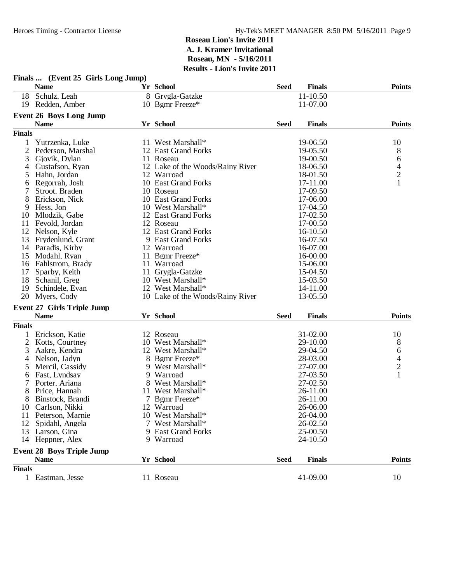|                | Finals  (Event 25 Girls Long Jump) | - глон э шүнд 2011               |             |               |                                            |
|----------------|------------------------------------|----------------------------------|-------------|---------------|--------------------------------------------|
|                | <b>Name</b>                        | Yr School                        | <b>Seed</b> | <b>Finals</b> | <b>Points</b>                              |
|                | 18 Schulz, Leah                    | 8 Grygla-Gatzke                  |             | 11-10.50      |                                            |
|                | 19 Redden, Amber                   | 10 Bgmr Freeze*                  |             | 11-07.00      |                                            |
|                | <b>Event 26 Boys Long Jump</b>     |                                  |             |               |                                            |
|                | <b>Name</b>                        | Yr School                        | <b>Seed</b> | <b>Finals</b> | <b>Points</b>                              |
| <b>Finals</b>  |                                    |                                  |             |               |                                            |
| 1              | Yutrzenka, Luke                    | 11 West Marshall*                |             | 19-06.50      | 10                                         |
| 2              | Pederson, Marshal                  | 12 East Grand Forks              |             | 19-05.50      | 8                                          |
| 3              | Gjovik, Dylan                      | 11 Roseau                        |             | 19-00.50      | 6                                          |
| 4              | Gustafson, Ryan                    | 12 Lake of the Woods/Rainy River |             | 18-06.50      | $\begin{array}{c} 4 \\ 2 \\ 1 \end{array}$ |
| 5              | Hahn, Jordan                       | 12 Warroad                       |             | 18-01.50      |                                            |
| 6              | Regorrah, Josh                     | 10 East Grand Forks              |             | 17-11.00      |                                            |
| 7              | Stroot, Braden                     | 10 Roseau                        |             | 17-09.50      |                                            |
| 8              | Erickson, Nick                     | 10 East Grand Forks              |             | 17-06.00      |                                            |
| 9              | Hess, Jon                          | 10 West Marshall*                |             | 17-04.50      |                                            |
| 10             | Mlodzik, Gabe                      | 12 East Grand Forks              |             | 17-02.50      |                                            |
| 11             | Fevold, Jordan                     | 12 Roseau                        |             | 17-00.50      |                                            |
|                | 12 Nelson, Kyle                    | 12 East Grand Forks              |             | 16-10.50      |                                            |
| 13             | Frydenlund, Grant                  | 9 East Grand Forks               |             | 16-07.50      |                                            |
| 14             | Paradis, Kirby                     | 12 Warroad                       |             | 16-07.00      |                                            |
| 15             | Modahl, Ryan                       | 11 Bgmr Freeze*                  |             | 16-00.00      |                                            |
| 16             | Fahlstrom, Brady                   | 11 Warroad                       |             | 15-06.00      |                                            |
| 17             | Sparby, Keith                      | 11 Grygla-Gatzke                 |             | 15-04.50      |                                            |
| 18             | Schanil, Greg                      | 10 West Marshall*                |             | 15-03.50      |                                            |
| 19             | Schindele, Evan                    | 12 West Marshall*                |             | 14-11.00      |                                            |
| 20             | Myers, Cody                        | 10 Lake of the Woods/Rainy River |             | 13-05.50      |                                            |
|                | <b>Event 27 Girls Triple Jump</b>  |                                  |             |               |                                            |
|                | <b>Name</b>                        | Yr School                        | <b>Seed</b> | <b>Finals</b> | <b>Points</b>                              |
| <b>Finals</b>  |                                    |                                  |             |               |                                            |
|                | Erickson, Katie                    | 12 Roseau                        |             | 31-02.00      | 10                                         |
| $\overline{2}$ | Kotts, Courtney                    | 10 West Marshall*                |             | 29-10.00      | 8                                          |
| 3              | Aakre, Kendra                      | 12 West Marshall*                |             | 29-04.50      | 6                                          |
| 4              | Nelson, Jadyn                      | 8 Bgmr Freeze*                   |             | 28-03.00      |                                            |
| 5              | Mercil, Cassidy                    | 9 West Marshall*                 |             | 27-07.00      | $\frac{4}{2}$                              |
| 6              | Fast, Lyndsay                      | 9 Warroad                        |             | 27-03.50      | $\overline{1}$                             |
|                | Porter, Ariana                     | 8 West Marshall*                 |             | 27-02.50      |                                            |
| 8              | Price, Hannah                      | 11 West Marshall*                |             | 26-11.00      |                                            |
|                | 8 Binstock, Brandi                 | 7 Bgmr Freeze*                   |             | 26-11.00      |                                            |
|                | 10 Carlson, Nikki                  | 12 Warroad                       |             | 26-06.00      |                                            |
| 11             | Peterson, Marnie                   | 10 West Marshall*                |             | 26-04.00      |                                            |
| 12             | Spidahl, Angela                    | 7 West Marshall*                 |             | 26-02.50      |                                            |
|                | 13 Larson, Gina                    | 9 East Grand Forks               |             | 25-00.50      |                                            |
|                | 14 Heppner, Alex                   | 9 Warroad                        |             | 24-10.50      |                                            |
|                | <b>Event 28 Boys Triple Jump</b>   |                                  |             |               |                                            |
|                | <b>Name</b>                        | Yr School                        | <b>Seed</b> | <b>Finals</b> | <b>Points</b>                              |
| <b>Finals</b>  |                                    |                                  |             |               |                                            |
|                | 1 Eastman, Jesse                   | 11 Roseau                        |             | 41-09.00      | 10                                         |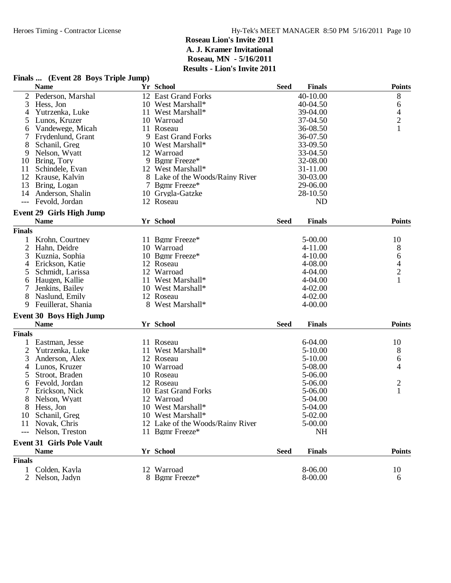#### **Finals ... (Event 28 Boys Triple Jump) Name Yr School FinalsSeed Points** 2 Pederson, Marshal 12 East Grand Forks 40-10.00 8<br>3 Hess, Jon 10 West Marshall\* 40-04.50 6 3 Hess, Jon 10 West Marshall\* 40-04.50 6 6 6 6 6 7 10 West Marshall\* 40-04.50 6 6 7 10 West Marshall\* 40-04.50 6 6 7 10 Km and  $\frac{4}{39}$ 4 Yutrzenka, Luke 11 West Marshall\* 39-04.00 4<br>5 Lunos, Kruzer 10 Warroad 37-04.50 2 10 Warroad 37-04.50 2<br>
11 Roseau 36-08.50 2<br>
11 Roseau 36-08.50 1 6 Vandewege, Micah 11 Roseau 36-08.50<br>
36-08.50 1 36-07.50 1 36-07.50 36-07.50 36-07.50 7 Frydenlund, Grant 9 East Grand Forks 36-07.50 10 West Marshall\* 33-09.50<br>12 Warroad 33-04.50 9 Nelson, Wyatt 12 Warroad 12 Warroad 33-04.50<br>10 Bring, Tory 9 Benne Freeze\* 32-08.00 9 Bgmr Freeze\*<br>12 West Marshall\* 11 Schindele, Evan 12 West Marshall\* 31-11.00<br>12 Krause, Kalvin 30-03.00<br>130-03.00 8 Lake of the Woods/Rainy River 30-03.00<br>
7 Bgmr Freeze\* 29-06.00 13 Bring, Logan 19 7 Bgmr Freeze\* 29-06.00<br>
14 Anderson, Shalin 10 Grygla-Gatzke 28-10.50 14 Anderson, Shalin 10 Grygla-Gatzke 28-10.50<br>
12 Roseau 12 Roseau ND --- Fevold, Jordan **Event 29 Girls High Jump Name Yr School FinalsSeed Points Finals** 1 Krohn, Courtney 11 Bgmr Freeze\* 5-00.00 10<br>
2 Hahn, Deidre 10 Warroad 4-11.00 8 2 Hahn, Deidre 10 Warroad 10 + 11.00 8<br>3 Kuznia, Sophia 10 Bgmr Freeze\* 4-10.00 6 3 Kuznia, Sophia 10 Bgmr Freeze\* 4-10.00 6 4 Erickson, Katie 12 Roseau 12 Australia (h. 1408.00 45 Schmidt, Larissa 12 Warroad 12 Australia (h. 1404.00 4 5 Schmidt, Larissa 12 Warroad 4-04.00 2 6 Haugen, Kallie 11 West Marshall\* 11 West Marshall\* 4-04.00<br>
7 Jenkins, Bailey 10 West Marshall\* 4-02.00 7 Jenkins, Bailey 10 West Marshall\* 4-02.00 8 Naslund, Emily 12 Roseau 12 Australia 12 Australia 12 Australia 12 Australia 14-02.00<br>18 Nest Marshall\* 14-00.00 9 Feuillerat, Shania **Event 30 Boys High Jump Name Yr School FinalsSeed Points Finals** 1 Eastman, Jesse 11 Roseau 6-04.00 10<br>
2 Yutrzenka, Luke 11 West Marshall\* 5-10.00 8 2 Yutrzenka, Luke 11 West Marshall\* 5-10.00 8<br>3 Anderson, Alex 12 Roseau 5-10.00 6 3 Anderson, Alex 12 Roseau 5-10.00 6<br>4 Lunos Kruzer 10 Warroad 5-08.00 5-08.00 4 4 Lunos, Kruzer 10 Warroad 5-08.00 5 Stroot, Braden 10 Roseau 5-06.00 6 Fevold, Jordan 12 Roseau 5-06.00 2<br>
5 Frickson Nick 10 East Grand Forks 5-06.00 2 7 Erickson, Nick 10 East Grand Forks 5-06.00<br>
8 Nelson, Wyatt 12 Warroad 5-04.00 8 Nelson, Wyatt 12 Warroad 5-04.00<br>8 Hess, Jon 10 West Marshall\* 5-04.00 8 Hess, Jon 10 West Marshall\* 10 Schanil, Greg 10 West Marshall\* 5-02.00 11 Novak, Chris 12 Lake of the Woods/Rainy River 5-00.00<br>The Subson, Treston 11 Bgmr Freeze\* NH 11 Bgmr Freeze\* NH **Event 31 Girls Pole Vault Name Yr School FinalsSeed Points Finals** 1 Colden, Kayla 12 Warroad 8-06.00 10 2 Nelson, Jadyn 8 Bgmr Freeze\* 8-00.00 6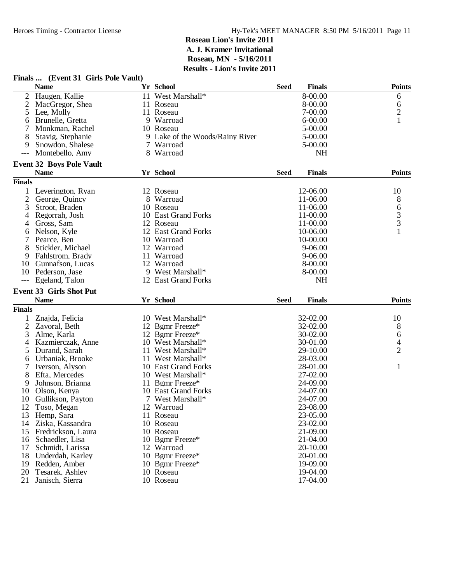|                | Finals  (Event 31 Girls Pole Vault) |                                 |             |               |                |
|----------------|-------------------------------------|---------------------------------|-------------|---------------|----------------|
|                | <b>Name</b>                         | Yr School                       | <b>Seed</b> | <b>Finals</b> | <b>Points</b>  |
|                | Haugen, Kallie                      | 11 West Marshall*               |             | 8-00.00       | 6              |
| 2              | MacGregor, Shea                     | 11 Roseau                       |             | 8-00.00       | 6              |
| 5              | Lee, Molly                          | 11 Roseau                       |             | 7-00.00       | $\overline{c}$ |
| 6              | Brunelle, Gretta                    | 9 Warroad                       |             | $6 - 00.00$   | $\mathbf{1}$   |
|                | Monkman, Rachel                     | 10 Roseau                       |             | 5-00.00       |                |
|                | Stavig, Stephanie                   | 9 Lake of the Woods/Rainy River |             | 5-00.00       |                |
| 9              | Snowdon, Shalese                    | 7 Warroad                       |             | 5-00.00       |                |
| ---            | Montebello, Amy                     | 8 Warroad                       |             | <b>NH</b>     |                |
|                | <b>Event 32 Boys Pole Vault</b>     |                                 |             |               |                |
|                | <b>Name</b>                         | Yr School                       | <b>Seed</b> | <b>Finals</b> | <b>Points</b>  |
| <b>Finals</b>  |                                     |                                 |             |               |                |
| 1              | Leverington, Ryan                   | 12 Roseau                       |             | 12-06.00      | 10             |
| $\overline{c}$ | George, Quincy                      | 8 Warroad                       |             | 11-06.00      | 8              |
| 3              | Stroot, Braden                      | 10 Roseau                       |             | 11-06.00      | 6              |
| 4              | Regorrah, Josh                      | 10 East Grand Forks             |             | 11-00.00      |                |
| 4              | Gross, Sam                          | 12 Roseau                       |             | 11-00.00      | $\frac{3}{3}$  |
| 6              | Nelson, Kyle                        | 12 East Grand Forks             |             | 10-06.00      | 1              |
|                | Pearce, Ben                         | 10 Warroad                      |             | 10-00.00      |                |
| 8              | Stickler, Michael                   | 12 Warroad                      |             | $9 - 06.00$   |                |
| 9              | Fahlstrom, Brady                    | 11 Warroad                      |             | 9-06.00       |                |
| 10             | Gunnafson, Lucas                    | 12 Warroad                      |             | 8-00.00       |                |
| 10             | Pederson, Jase                      | 9 West Marshall*                |             | 8-00.00       |                |
|                | Egeland, Talon                      | 12 East Grand Forks             |             | <b>NH</b>     |                |
|                | <b>Event 33 Girls Shot Put</b>      |                                 |             |               |                |
|                | <b>Name</b>                         | Yr School                       | <b>Seed</b> | <b>Finals</b> | <b>Points</b>  |
| <b>Finals</b>  |                                     |                                 |             |               |                |
| 1              | Znajda, Felicia                     | 10 West Marshall*               |             | 32-02.00      | 10             |
| $\overline{2}$ | Zavoral, Beth                       | 12 Bgmr Freeze*                 |             | 32-02.00      | 8              |
| 3              | Alme, Karla                         | 12 Bgmr Freeze*                 |             | 30-02.00      | 6              |
| 4              | Kazmierczak, Anne                   | 10 West Marshall*               |             | 30-01.00      | 4              |
| 5              | Durand, Sarah                       | 11 West Marshall*               |             | 29-10.00      | $\overline{2}$ |
| 6              | Urbaniak, Brooke                    | 11 West Marshall*               |             | 28-03.00      |                |
| 7              | Iverson, Alyson                     | 10 East Grand Forks             |             | 28-01.00      | 1              |
| 8              | Efta, Mercedes                      | 10 West Marshall*               |             | 27-02.00      |                |
| 9              | Johnson, Brianna                    | 11 Bgmr Freeze*                 |             | 24-09.00      |                |
| 10             | Olson, Kenya                        | 10 East Grand Forks             |             | 24-07.00      |                |
| 10             | Gullikson, Payton                   | 7 West Marshall*                |             | 24-07.00      |                |
| 12             | Toso, Megan                         | 12 Warroad                      |             | 23-08.00      |                |
| 13             | Hemp, Sara                          | 11 Roseau                       |             | 23-05.00      |                |
| 14             | Ziska, Kassandra                    | 10 Roseau                       |             | 23-02.00      |                |
| 15             | Fredrickson, Laura                  | 10 Roseau                       |             | 21-09.00      |                |
| 16             | Schaedler, Lisa                     | 10 Bgmr Freeze*                 |             | 21-04.00      |                |
| 17             | Schmidt, Larissa                    | 12 Warroad                      |             | 20-10.00      |                |
| 18             | Underdah, Karley                    | 10 Bgmr Freeze*                 |             | 20-01.00      |                |
| 19             | Redden, Amber                       | 10 Bgmr Freeze*                 |             | 19-09.00      |                |
| 20             | Tesarek, Ashley                     | 10 Roseau                       |             | 19-04.00      |                |
| 21             | Janisch, Sierra                     | 10 Roseau                       |             | 17-04.00      |                |
|                |                                     |                                 |             |               |                |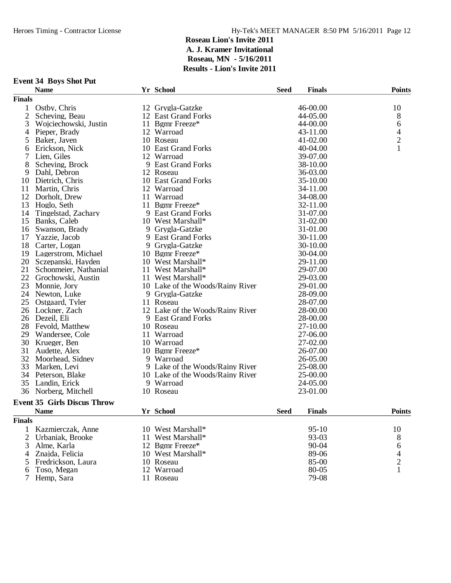|                | <b>Event 34 Boys Shot Put</b>      |                                  |             |               |                          |
|----------------|------------------------------------|----------------------------------|-------------|---------------|--------------------------|
|                | <b>Name</b>                        | Yr School                        | <b>Seed</b> | <b>Finals</b> | <b>Points</b>            |
| <b>Finals</b>  |                                    |                                  |             |               |                          |
| $\mathbf{1}$   | Ostby, Chris                       | 12 Grygla-Gatzke                 |             | 46-00.00      | 10                       |
| $\overline{2}$ | Scheving, Beau                     | 12 East Grand Forks              |             | 44-05.00      | 8                        |
| 3              | Wojciechowski, Justin              | 11 Bgmr Freeze*                  |             | 44-00.00      | 6                        |
| 4              | Pieper, Brady                      | 12 Warroad                       |             | 43-11.00      | $\overline{\mathcal{A}}$ |
| 5              | Baker, Javen                       | 10 Roseau                        |             | 41-02.00      | $\overline{c}$           |
| 6              | Erickson, Nick                     | 10 East Grand Forks              |             | 40-04.00      | 1                        |
| $\tau$         | Lien, Giles                        | 12 Warroad                       |             | 39-07.00      |                          |
| 8              | Scheving, Brock                    | 9 East Grand Forks               |             | 38-10.00      |                          |
| 9              | Dahl, Debron                       | 12 Roseau                        |             | 36-03.00      |                          |
|                | 10 Dietrich, Chris                 | 10 East Grand Forks              |             | 35-10.00      |                          |
| 11             | Martin, Chris                      | 12 Warroad                       |             | 34-11.00      |                          |
| 12             | Dorholt, Drew                      | 11 Warroad                       |             | 34-08.00      |                          |
| 13             | Hoglo, Seth                        | 11 Bgmr Freeze*                  |             | 32-11.00      |                          |
| 14             | Tingelstad, Zachary                | 9 East Grand Forks               |             | 31-07.00      |                          |
|                |                                    | 10 West Marshall*                |             | 31-02.00      |                          |
|                | 15 Banks, Caleb                    |                                  |             |               |                          |
| 16             | Swanson, Brady                     | 9 Grygla-Gatzke                  |             | 31-01.00      |                          |
| 17             | Yazzie, Jacob                      | 9 East Grand Forks               |             | 30-11.00      |                          |
|                | 18 Carter, Logan                   | 9 Grygla-Gatzke                  |             | 30-10.00      |                          |
|                | 19 Lagerstrom, Michael             | 10 Bgmr Freeze*                  |             | 30-04.00      |                          |
|                | 20 Sczepanski, Hayden              | 10 West Marshall*                |             | 29-11.00      |                          |
| 21             | Schonmeier, Nathanial              | 11 West Marshall*                |             | 29-07.00      |                          |
|                | 22 Grochowski, Austin              | 11 West Marshall*                |             | 29-03.00      |                          |
| 23             | Monnie, Jory                       | 10 Lake of the Woods/Rainy River |             | 29-01.00      |                          |
| 24             | Newton, Luke                       | 9 Grygla-Gatzke                  |             | 28-09.00      |                          |
| 25             | Ostgaard, Tyler                    | 11 Roseau                        |             | 28-07.00      |                          |
|                | 26 Lockner, Zach                   | 12 Lake of the Woods/Rainy River |             | 28-00.00      |                          |
|                | 26 Dezeil, Eli                     | 9 East Grand Forks               |             | 28-00.00      |                          |
|                | 28 Fevold, Matthew                 | 10 Roseau                        |             | 27-10.00      |                          |
| 29             | Wandersee, Cole                    | 11 Warroad                       |             | 27-06.00      |                          |
| 30             | Krueger, Ben                       | 10 Warroad                       |             | 27-02.00      |                          |
| 31             | Audette, Alex                      | 10 Bgmr Freeze*                  |             | 26-07.00      |                          |
|                | 32 Moorhead, Sidney                | 9 Warroad                        |             | 26-05.00      |                          |
| 33             | Marken, Levi                       | 9 Lake of the Woods/Rainy River  |             | 25-08.00      |                          |
| 34             | Peterson, Blake                    | 10 Lake of the Woods/Rainy River |             | 25-00.00      |                          |
|                | 35 Landin, Erick                   | 9 Warroad                        |             | 24-05.00      |                          |
| 36             | Norberg, Mitchell                  | 10 Roseau                        |             | 23-01.00      |                          |
|                | <b>Event 35 Girls Discus Throw</b> |                                  |             |               |                          |
|                | <b>Name</b>                        | Yr School                        | <b>Seed</b> | <b>Finals</b> | <b>Points</b>            |
| <b>Finals</b>  |                                    |                                  |             |               |                          |
|                |                                    |                                  |             |               |                          |
| $\mathbf{1}$   | Kazmierczak, Anne                  | 10 West Marshall*                |             | $95-10$       | 10                       |
| 2              | Urbaniak, Brooke                   | 11 West Marshall*                |             | 93-03         | 8                        |
| 3              | Alme, Karla                        | 12 Bgmr Freeze*                  |             | 90-04         | 6                        |
| $\overline{4}$ | Znajda, Felicia                    | 10 West Marshall*                |             | 89-06         | 4                        |

5 Fredrickson, Laura 10 Roseau 85-00 2<br>6 Toso, Megan 12 Warroad 80-05 1

6 Toso, Megan 12 Warroad 80-05 12 Warroad 80-05 11 Roseau 79-08 12 Warroad<br>11 Roseau

10 West Marshall\* 89-06 4<br>10 Roseau 85-00 2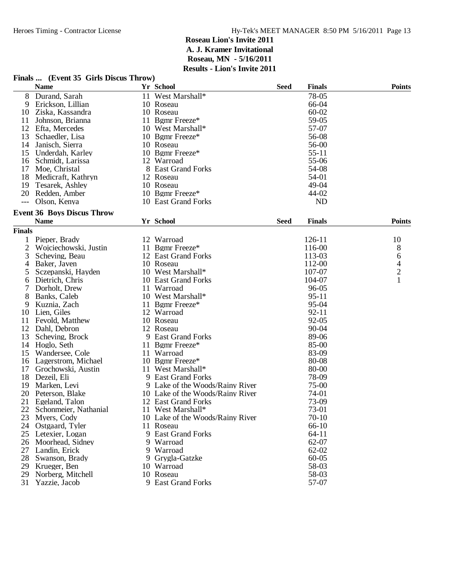# **Finals ... (Event 35 Girls Discus Throw)**

|               | <b>Name</b>                       | Yr School                        | <b>Seed</b> | <b>Finals</b> | <b>Points</b>            |
|---------------|-----------------------------------|----------------------------------|-------------|---------------|--------------------------|
| 8             | Durand, Sarah                     | 11 West Marshall*                |             | 78-05         |                          |
| 9             | Erickson, Lillian                 | 10 Roseau                        |             | 66-04         |                          |
| 10            | Ziska, Kassandra                  | 10 Roseau                        |             | $60 - 02$     |                          |
| 11            | Johnson, Brianna                  | 11 Bgmr Freeze*                  |             | 59-05         |                          |
| 12            | Efta, Mercedes                    | 10 West Marshall*                |             | 57-07         |                          |
| 13            | Schaedler, Lisa                   | 10 Bgmr Freeze*                  |             | 56-08         |                          |
| 14            | Janisch, Sierra                   | 10 Roseau                        |             | 56-00         |                          |
| 15            | Underdah, Karley                  | 10 Bgmr Freeze*                  |             | $55 - 11$     |                          |
| 16            | Schmidt, Larissa                  | 12 Warroad                       |             | 55-06         |                          |
| 17            | Moe, Christal                     | 8 East Grand Forks               |             | 54-08         |                          |
| 18            | Medicraft, Kathryn                | 12 Roseau                        |             | 54-01         |                          |
| 19            | Tesarek, Ashley                   | 10 Roseau                        |             | 49-04         |                          |
| 20            | Redden, Amber                     | 10 Bgmr Freeze*                  |             | 44-02         |                          |
|               | Olson, Kenya                      | 10 East Grand Forks              |             | <b>ND</b>     |                          |
|               | <b>Event 36 Boys Discus Throw</b> |                                  |             |               |                          |
|               | <b>Name</b>                       | Yr School                        | <b>Seed</b> | <b>Finals</b> | <b>Points</b>            |
| <b>Finals</b> |                                   |                                  |             |               |                          |
| $\mathbf 1$   | Pieper, Brady                     | 12 Warroad                       |             | 126-11        | 10                       |
| 2             | Wojciechowski, Justin             | 11 Bgmr Freeze*                  |             | 116-00        | 8                        |
| 3             | Scheving, Beau                    | 12 East Grand Forks              |             | 113-03        | 6                        |
| 4             | Baker, Javen                      | 10 Roseau                        |             | 112-00        | $\overline{\mathcal{A}}$ |
| 5             | Sczepanski, Hayden                | 10 West Marshall*                |             | 107-07        | $\overline{2}$           |
| 6             | Dietrich, Chris                   | 10 East Grand Forks              |             | 104-07        | 1                        |
| 7             | Dorholt, Drew                     | 11 Warroad                       |             | 96-05         |                          |
| 8             | Banks, Caleb                      | 10 West Marshall*                |             | $95-11$       |                          |
| 9             | Kuznia, Zach                      | 11 Bgmr Freeze*                  |             | 95-04         |                          |
| 10            | Lien, Giles                       | 12 Warroad                       |             | $92 - 11$     |                          |
| 11            | Fevold, Matthew                   | 10 Roseau                        |             | 92-05         |                          |
| 12            | Dahl, Debron                      | 12 Roseau                        |             | 90-04         |                          |
| 13            | Scheving, Brock                   | 9 East Grand Forks               |             | 89-06         |                          |
| 14            | Hoglo, Seth                       | 11 Bgmr Freeze*                  |             | 85-00         |                          |
| 15            | Wandersee, Cole                   | 11 Warroad                       |             | 83-09         |                          |
| 16            | Lagerstrom, Michael               | 10 Bgmr Freeze*                  |             | 80-08         |                          |
| 17            | Grochowski, Austin                | 11 West Marshall*                |             | 80-00         |                          |
| 18            | Dezeil, Eli                       | 9 East Grand Forks               |             | 78-09         |                          |
| 19            | Marken, Levi                      | 9 Lake of the Woods/Rainy River  |             | 75-00         |                          |
| 20            | Peterson, Blake                   | 10 Lake of the Woods/Rainy River |             | 74-01         |                          |
| 21            | Egeland, Talon                    | 12 East Grand Forks              |             | 73-09         |                          |
| 22            | Schonmeier, Nathanial             | 11 West Marshall*                |             | 73-01         |                          |
| 23            | Myers, Cody                       | 10 Lake of the Woods/Rainy River |             | $70 - 10$     |                          |
| 24            | Ostgaard, Tyler                   | 11 Roseau                        |             | 66-10         |                          |
| 25            | Letexier, Logan                   | 9 East Grand Forks               |             | $64 - 11$     |                          |
| 26            | Moorhead, Sidney                  | 9 Warroad                        |             | 62-07         |                          |
| 27            | Landin, Erick                     | 9 Warroad                        |             | $62 - 02$     |                          |
| 28            | Swanson, Brady                    | 9 Grygla-Gatzke                  |             | $60 - 05$     |                          |
| 29            | Krueger, Ben                      | 10 Warroad                       |             | 58-03         |                          |
| 29            | Norberg, Mitchell                 | 10 Roseau                        |             | 58-03         |                          |
| 31            | Yazzie, Jacob                     | 9 East Grand Forks               |             | 57-07         |                          |